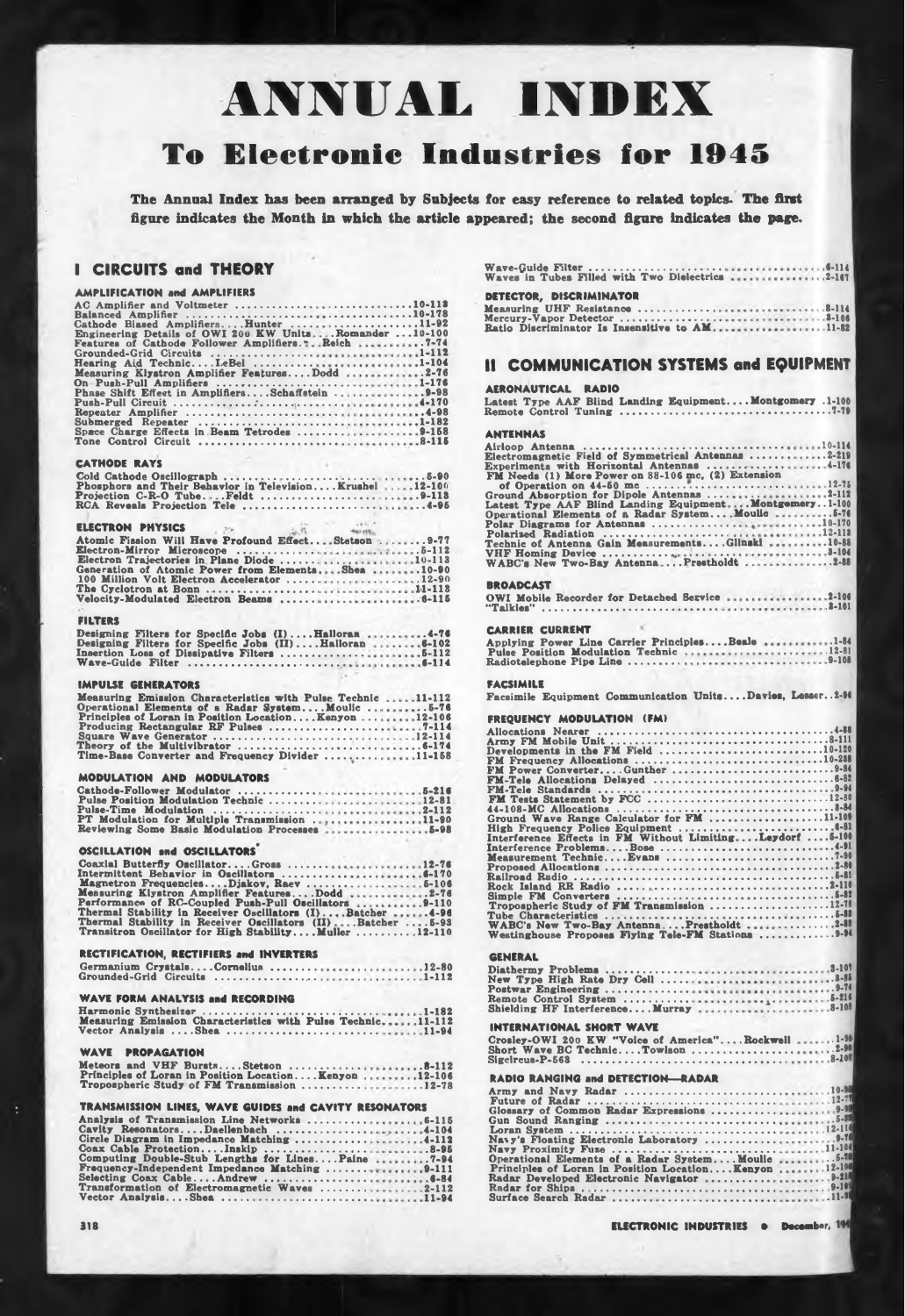# **ANNUAL INDEX**

## **To Electronic Industries for 1945**

**The Annual Index has been arranged by Subjects for easy reference to related topics. The first figure indicates the Month in which the article appeared; the second figure indicates the page.**

### **I** CIRCUITS and THEORY

#### **AMPLIFICATION and AMPLIFIERS**

| AC Amplifier and Voltmeter 10-113                     |  |
|-------------------------------------------------------|--|
|                                                       |  |
| Cathode Biased AmplifiersHunter 11-92                 |  |
| Engineering Details of OWI 200 KW UnitsRomander10-100 |  |
| Features of Cathode Follower Amplifiers. 7-74         |  |
|                                                       |  |
| Hearing Aid TechnicI.eBel 1-104                       |  |
| Measuring Klystron Amplifier FeaturesDodd 2-76        |  |
| On Push-Pull Amplifiers 1-176                         |  |
| Phase Shift Effect in AmplifiersSchaffstein 9-98      |  |
|                                                       |  |
|                                                       |  |
| Submerged Repeater 1-182                              |  |
| Space Charge Effects in Beam Tetrodes 9-158           |  |
|                                                       |  |

#### **CATHODE RAYS**

| Phosphors and Their Behavior in Television Krushel 12-100 |  |
|-----------------------------------------------------------|--|
|                                                           |  |
|                                                           |  |

#### **ELECTRON PHYSICS v.**

| Atomic Fission Will Have Profound EffectStetson 9-77 |  |
|------------------------------------------------------|--|
|                                                      |  |
|                                                      |  |
| Generation of Atomic Power from ElementsShea 10-90   |  |
| 100 Million Volt Electron Accelerator 12-90          |  |
|                                                      |  |
|                                                      |  |

#### **FILTERS**

|  |  | Designing Filters for Specific Jobs (I)Halloran4-76     |
|--|--|---------------------------------------------------------|
|  |  | Designing Filters for Specific Jobs (II)Halloran  6-102 |
|  |  |                                                         |
|  |  |                                                         |

#### **IMPULSE GENERATORS**

| Measuring Emission Characteristics with Pulse Technic 11-112 |
|--------------------------------------------------------------|
| Operational Elements of a Radar SystemMoulic5-76             |
| Principles of Loran in Position LocationKenyon12-106         |
|                                                              |
|                                                              |
|                                                              |
| Time-Base Converter and Frequency Divider 11-158             |

#### **MODULATION AND MODULATORS**

| Pulse Position Modulation Technic 12-81       |  |
|-----------------------------------------------|--|
|                                               |  |
| PT Modulation for Multiple Transmission 11-90 |  |
|                                               |  |

#### **OSCILLATION and OSCILLATORS**

| Coaxial Butterfly OscillatorGross 12-76                    |  |
|------------------------------------------------------------|--|
|                                                            |  |
|                                                            |  |
| Measuring Klystron Amplifier FeaturesDodd2-76              |  |
| Performance of RC-Coupled Push-Pull Oscillators 9-110      |  |
| Thermal Stability in Receiver Oscillators (I)Batcher4-96   |  |
| Thermal Stability in Receiver Oscillators (II)Batcher 5-93 |  |
| Transitron Oscillator for High StabilityMuller12-110       |  |

| RECTIFICATION, RECTIFIERS and INVERTERS |  |  |
|-----------------------------------------|--|--|
| Germanium CrystalsCornelius 12-80       |  |  |
| Grounded-Grid Circuits 1-112            |  |  |

#### **WAVE FORM ANALYSIS and RECORDING**

|  |  | Measuring Emission Characteristics with Pulse Technic11-112 |  |
|--|--|-------------------------------------------------------------|--|
|  |  | Vector Analysis Shea 11-94                                  |  |

#### **WAVE PROPAGATION**

|  | Principles of Loran in Position Location Kenyon 12-106 |  |
|--|--------------------------------------------------------|--|
|  | Tropospheric Study of FM Transmission 12-78            |  |

#### **TRANSMISSION LINES. WAVE GUIDES and CAVITY RESONATORS**

| Analysis of Transmission Line Networks  6-115     |  |
|---------------------------------------------------|--|
|                                                   |  |
|                                                   |  |
| Coax Cable ProtectionInskip 8-95                  |  |
| Computing Double-Stub Lengths for LinesPaine 7-94 |  |
| Frequency-Independent Impedance Matching 9-111    |  |
|                                                   |  |
| Transformation of Electromagnetic Waves 2-112     |  |
|                                                   |  |

| Waves in Tubes Filled with Two Dielectrics 2-167 |  |
|--------------------------------------------------|--|
| DETECTOR. DISCRIMINATOR                          |  |
|                                                  |  |
|                                                  |  |
| Ratio Discriminator Is Insensitive to AM11-82    |  |

#### **II COMMUNICATION SYSTEMS and EQUIPMENT**

#### **AERONAUTICAL RADIO**

| Latest Type AAF Blind Landing Equipment Montgomery .1-100                                         |
|---------------------------------------------------------------------------------------------------|
| <b>ANTENNAS</b>                                                                                   |
|                                                                                                   |
| Experiments with Horizontal Antennas 4-176<br>FM Needs (1) More Power on 88-106 mc, (2) Extension |
|                                                                                                   |
| Polar Diagrams for Antennas 10-170                                                                |
|                                                                                                   |
|                                                                                                   |
| <b>BROADCAST</b>                                                                                  |
| OWI Mobile Recorder for Detached Service 2-106                                                    |
|                                                                                                   |
| <b>CARRIER CURRENT</b>                                                                            |
| Applying Power Line Carrier PrinciplesBeale 1-84                                                  |
|                                                                                                   |
| <b>FACSIMILE</b>                                                                                  |
| Facsimile Equipment Communication UnitsDavies, Lesser2-96                                         |
| FREQUENCY MODULATION (FM)                                                                         |
|                                                                                                   |
|                                                                                                   |
| FM Frequency Allocations 10-288                                                                   |
|                                                                                                   |
|                                                                                                   |
|                                                                                                   |
|                                                                                                   |
|                                                                                                   |
|                                                                                                   |
|                                                                                                   |
|                                                                                                   |
|                                                                                                   |
|                                                                                                   |
|                                                                                                   |
|                                                                                                   |
|                                                                                                   |
|                                                                                                   |
| <b>GENERAL</b>                                                                                    |
|                                                                                                   |
|                                                                                                   |
|                                                                                                   |
|                                                                                                   |
| <b>INTERNATIONAL SHORT WAVE</b>                                                                   |
| Crosley-OWI 200 KW "Voice of America" Rockwell  1-90                                              |
| Sigcircus-P-568                                                                                   |
| <b>RADIO RANGING and DETECTION-RADAR</b>                                                          |

| Operational Elements of a Radar System Moulic  5-10     |  |  |  |
|---------------------------------------------------------|--|--|--|
| Principles of Loran in Position Location Kenyon  12-100 |  |  |  |
|                                                         |  |  |  |
|                                                         |  |  |  |
|                                                         |  |  |  |
|                                                         |  |  |  |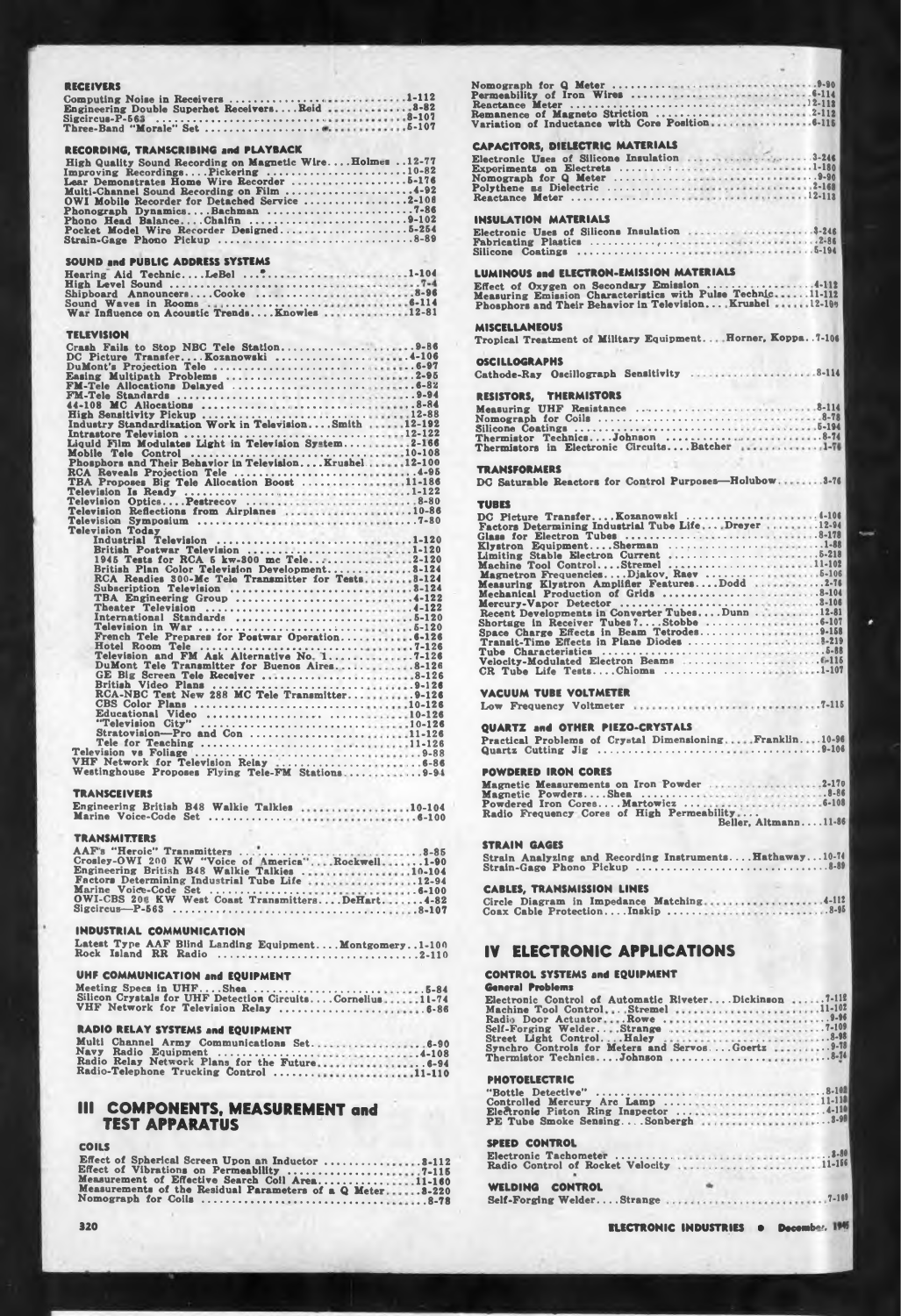| RECEIVERS                                                                                                                                                                                                                                  |
|--------------------------------------------------------------------------------------------------------------------------------------------------------------------------------------------------------------------------------------------|
|                                                                                                                                                                                                                                            |
|                                                                                                                                                                                                                                            |
|                                                                                                                                                                                                                                            |
| RECORDING, TRANSCRIBING and PLAYBACK                                                                                                                                                                                                       |
| High Quality Sound Recording on Magnetic Wire Holmes 12-77                                                                                                                                                                                 |
| Improving RecordingsPickering 10-82                                                                                                                                                                                                        |
| Multi-Channel Sound Recording on Film 4-92<br>OWI Mobile Recorder for Detached Service 2-106                                                                                                                                               |
|                                                                                                                                                                                                                                            |
|                                                                                                                                                                                                                                            |
|                                                                                                                                                                                                                                            |
| SOUND and PUBLIC ADDRESS SYSTEMS                                                                                                                                                                                                           |
| Hearing Aid TechnicLeBel 1-104                                                                                                                                                                                                             |
|                                                                                                                                                                                                                                            |
|                                                                                                                                                                                                                                            |
|                                                                                                                                                                                                                                            |
| TELEVISION                                                                                                                                                                                                                                 |
|                                                                                                                                                                                                                                            |
|                                                                                                                                                                                                                                            |
| Easing Multipath Problems<br>FM-Tele Allocations Delayed<br>TM-Tele Allocations Delayed                                                                                                                                                    |
|                                                                                                                                                                                                                                            |
| 44-108 MC Allocations<br>High Sensitivity Pickup<br>12-88<br>Industry Standardization Work in TelevisionSmith<br>12-192                                                                                                                    |
|                                                                                                                                                                                                                                            |
|                                                                                                                                                                                                                                            |
| Mobile Tele Control (1999) Phosphora and Their Behavior in TelevisionKrushel (1999) 22-100                                                                                                                                                 |
|                                                                                                                                                                                                                                            |
|                                                                                                                                                                                                                                            |
| Television Is Ready<br>Television CorticsPestrecov<br>Television Reflections from Airplanes<br>10-86<br>Television Reflections from Airplanes                                                                                              |
|                                                                                                                                                                                                                                            |
| Television Eenectons rom Airpianes<br>Television Symposium<br>Industrial Television Control Persisten and Television<br>Initial Persisten Television<br>Initial Postwar Television<br>Initial Postwar Television<br>British Postwar Televi |
|                                                                                                                                                                                                                                            |
|                                                                                                                                                                                                                                            |
|                                                                                                                                                                                                                                            |
| TBA Engineering Group 4-122                                                                                                                                                                                                                |
|                                                                                                                                                                                                                                            |
|                                                                                                                                                                                                                                            |
|                                                                                                                                                                                                                                            |
| DuMont Tele Transmitter for Buenos Aires8-126                                                                                                                                                                                              |
|                                                                                                                                                                                                                                            |
|                                                                                                                                                                                                                                            |
|                                                                                                                                                                                                                                            |
|                                                                                                                                                                                                                                            |
|                                                                                                                                                                                                                                            |
|                                                                                                                                                                                                                                            |
|                                                                                                                                                                                                                                            |
| <b>TRANSCEIVERS</b><br>Engineering British B48 Walkie Talkies 10-104                                                                                                                                                                       |
|                                                                                                                                                                                                                                            |
| <b>TRANSMITTERS</b>                                                                                                                                                                                                                        |
|                                                                                                                                                                                                                                            |
|                                                                                                                                                                                                                                            |

**Engineering British B48 Walkie Talkies . Factors Determining Industrial Tube Life Marine Voitfe-Code Set .................................... OWI-CBS 20'- KW West Coast Transmitters....DeHart. Sigcircus—P-563 ..................,............................................................. 10-104 .12-94 .6-100 ..4-82 .8-107**

#### **INDUSTRIAL COMMUNICATION**

|                      |  |  | Latest Type AAF Blind Landing Equipment Montgomery1-100 |
|----------------------|--|--|---------------------------------------------------------|
| Rock Island RR Radio |  |  |                                                         |

| UHF COMMUNICATION and EQUIPMENT                           |
|-----------------------------------------------------------|
| Meeting Specs in UHFShea 5-84                             |
| Silicon Crystals for UHF Detection CircuitsCornelius11-74 |
| VHF Network for Television Relay  6-86                    |

#### **RADIO RELAY SYSTEMS and EQUIPMENT**

| Multi Channel Army Communications Set 6-90    |  |  |  |  |  |  |
|-----------------------------------------------|--|--|--|--|--|--|
|                                               |  |  |  |  |  |  |
| Radio Relay Network Plans for the Future 6-94 |  |  |  |  |  |  |
| Radio-Telephone Trucking Control 11-110       |  |  |  |  |  |  |

#### **III COMPONENTS, MEASUREMENT and TEST APPARATUS**

#### **COILS**

| Effect of Spherical Screen Upon an Inductor  8-112        |
|-----------------------------------------------------------|
|                                                           |
| Measurement of Effective Search Coll Area11-160           |
| Measurements of the Residual Parameters of a Q Meter8-220 |
|                                                           |

| Nomograph for Q Meter<br>Permeability of Iron Wires<br>Allen Contract Control of 114                                                                                                                        |  |                          |  |                      |
|-------------------------------------------------------------------------------------------------------------------------------------------------------------------------------------------------------------|--|--------------------------|--|----------------------|
|                                                                                                                                                                                                             |  |                          |  |                      |
|                                                                                                                                                                                                             |  |                          |  |                      |
|                                                                                                                                                                                                             |  |                          |  |                      |
| <b>CAPACITORS, DIELECTRIC MATERIALS</b>                                                                                                                                                                     |  |                          |  |                      |
| Experiments on Electrets 1-180                                                                                                                                                                              |  |                          |  |                      |
| Polythene as Dielectric 2-168                                                                                                                                                                               |  |                          |  |                      |
|                                                                                                                                                                                                             |  |                          |  |                      |
| <b>INSULATION MATERIALS</b>                                                                                                                                                                                 |  |                          |  |                      |
|                                                                                                                                                                                                             |  |                          |  |                      |
|                                                                                                                                                                                                             |  |                          |  |                      |
| <b>LUMINOUS and ELECTRON-EMISSION MATERIALS</b>                                                                                                                                                             |  |                          |  |                      |
|                                                                                                                                                                                                             |  |                          |  |                      |
| Phosphors and Their Behavior in Television Krushel  12-109                                                                                                                                                  |  |                          |  |                      |
| <b>MISCELLANEOUS</b>                                                                                                                                                                                        |  |                          |  |                      |
| Tropical Treatment of Military Equipment Horner, Koppa7-106                                                                                                                                                 |  |                          |  |                      |
| OSCILLOGRAPHS<br>Cathode-Ray Oscillograph Sensitivity 8-114                                                                                                                                                 |  |                          |  |                      |
|                                                                                                                                                                                                             |  | <u> Partis de la pro</u> |  |                      |
| RESISTORS, THERMISTORS                                                                                                                                                                                      |  |                          |  |                      |
|                                                                                                                                                                                                             |  |                          |  |                      |
|                                                                                                                                                                                                             |  |                          |  |                      |
| Silicone Coatings<br>Thermistor TechnicsJohnson<br>Thermistors in Electronic CircuitsBatcher<br>Thermistors in Electronic CircuitsBatcher                                                                   |  |                          |  |                      |
|                                                                                                                                                                                                             |  |                          |  |                      |
| <b>TRANSFORMERS</b><br>DC Saturable Reactors for Control Purposes-Holubow3-76                                                                                                                               |  |                          |  |                      |
| TUBES                                                                                                                                                                                                       |  |                          |  |                      |
| Factors Determining Industrial Tube Life Dreyer 12-94                                                                                                                                                       |  |                          |  |                      |
|                                                                                                                                                                                                             |  |                          |  |                      |
|                                                                                                                                                                                                             |  |                          |  |                      |
| Factors Detection Tubes<br>(Glass for Electron Tubes<br>Klystron EquipmentSherman<br>Limiting Stable Electron Current<br>Machine Tool ControlStremel<br>Machine Tool ControlStremel<br>Machine Tool Control |  |                          |  |                      |
|                                                                                                                                                                                                             |  |                          |  |                      |
|                                                                                                                                                                                                             |  |                          |  |                      |
|                                                                                                                                                                                                             |  |                          |  |                      |
|                                                                                                                                                                                                             |  |                          |  |                      |
|                                                                                                                                                                                                             |  |                          |  |                      |
| CR Tube Life TestsChioma 1-107                                                                                                                                                                              |  |                          |  |                      |
| VACUUM TUBE VOLTMETER                                                                                                                                                                                       |  |                          |  |                      |
|                                                                                                                                                                                                             |  |                          |  |                      |
| QUARTZ and OTHER PIEZO-CRYSTALS                                                                                                                                                                             |  |                          |  |                      |
| Practical Problems of Crystal DimensioningFranklin10-96                                                                                                                                                     |  |                          |  |                      |
|                                                                                                                                                                                                             |  |                          |  |                      |
| <b>POWDERED IRON CORES</b>                                                                                                                                                                                  |  |                          |  |                      |
| Magnetic Measurements on Iron Powder 2-170                                                                                                                                                                  |  |                          |  |                      |
|                                                                                                                                                                                                             |  |                          |  |                      |
|                                                                                                                                                                                                             |  |                          |  | Beller, Altmann11-86 |
| <b>STRAIN GAGES</b>                                                                                                                                                                                         |  |                          |  |                      |
| Strain Analyzing and Recording Instruments Hathaway10-74                                                                                                                                                    |  |                          |  |                      |
|                                                                                                                                                                                                             |  |                          |  |                      |
| <b>CABLES, TRANSMISSION LINES</b>                                                                                                                                                                           |  |                          |  |                      |
|                                                                                                                                                                                                             |  |                          |  |                      |
|                                                                                                                                                                                                             |  |                          |  |                      |
|                                                                                                                                                                                                             |  |                          |  |                      |
| <b>ELECTRONIC APPLICATIONS</b><br>IV                                                                                                                                                                        |  |                          |  |                      |
| <b>CONTROL SYSTEMS and EQUIPMENT</b>                                                                                                                                                                        |  |                          |  |                      |
| <b>General Problems</b>                                                                                                                                                                                     |  |                          |  |                      |
| Electronic Control of Automatic RiveterDickinson 7-112                                                                                                                                                      |  |                          |  |                      |
|                                                                                                                                                                                                             |  |                          |  |                      |
|                                                                                                                                                                                                             |  |                          |  |                      |
|                                                                                                                                                                                                             |  |                          |  |                      |
|                                                                                                                                                                                                             |  |                          |  |                      |

٠

#### **PHOTOELECTRIC**

| SPEED CONTROL   |  |  |  |  |  |  |  |  |
|-----------------|--|--|--|--|--|--|--|--|
|                 |  |  |  |  |  |  |  |  |
|                 |  |  |  |  |  |  |  |  |
| WELDING CONTROL |  |  |  |  |  |  |  |  |
|                 |  |  |  |  |  |  |  |  |
|                 |  |  |  |  |  |  |  |  |

**ELECTRONIC INDUSTRIES • December, 1945**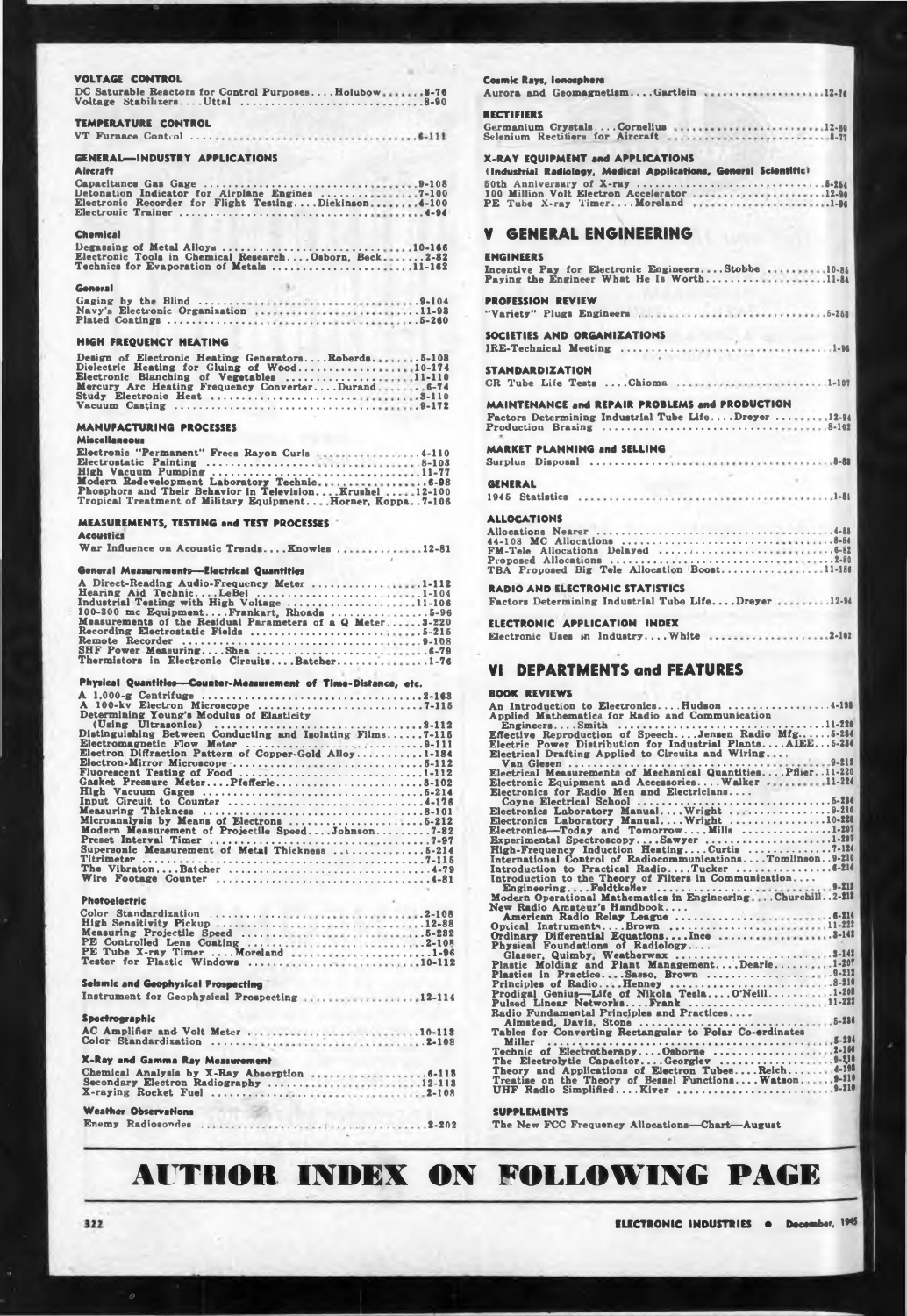#### VOLTAGE CONTROL

|                            | DC Saturable Reactors for Control PurposesHolubow8-76<br>Voltage StabilizersUttal 8-90 |  |
|----------------------------|----------------------------------------------------------------------------------------|--|
| <b>TEMPERATURE CONTROL</b> |                                                                                        |  |

|--|--|--|--|--|--|--|--|--|--|--|--|--|--|--|--|--|--|--|--|--|--|--|--|

#### **GENERAL-INDUSTRY APPLICATIONS** Alexander

| ----------                                           |
|------------------------------------------------------|
|                                                      |
|                                                      |
| Electronic Recorder for Flight TestingDickinson4-100 |
|                                                      |
|                                                      |

| Chemical                                              |            |
|-------------------------------------------------------|------------|
| Degassing of Metal Alloys 10-166                      |            |
| Electronic Tools in Chemical ResearchOsborn, Beck2-82 |            |
| Technica for Evenoration of Metale                    | $11 - 189$ |

| äeneral |  |
|---------|--|
|         |  |

| Gaging by the Blind                  |  |  |  |  |  |  |  |  |  |  |  | $ 9 - 104$ |  |
|--------------------------------------|--|--|--|--|--|--|--|--|--|--|--|------------|--|
| Navy's Electronic Organization 11-98 |  |  |  |  |  |  |  |  |  |  |  |            |  |
| Plated Coatings                      |  |  |  |  |  |  |  |  |  |  |  | $5 - 260$  |  |

#### **HIGH FREQUENCY HEATING**

| Design of Electronic Heating GeneratorsRoberds5-108 |  |  |
|-----------------------------------------------------|--|--|
| Dielectric Heating for Gluing of Wood10-174         |  |  |
| Electronic Blanching of Vegetables 11-110           |  |  |
| Mercury Arc Heating Frequency ConverterDurand 6-74  |  |  |
|                                                     |  |  |
| Vacuum Casting                                      |  |  |

#### **MANUFACTURING PROCESSES**

#### **Miscellaneous**

| Electronic "Permanent" Frees Rayon Curls 4-110                |  |  |  |  |
|---------------------------------------------------------------|--|--|--|--|
|                                                               |  |  |  |  |
| High Vacuum Pumping 11-77                                     |  |  |  |  |
|                                                               |  |  |  |  |
| Phosphors and Their Behavior in TelevisionKrushel12-100       |  |  |  |  |
| Tropical Transmont of Military Fournment . Horner Found 7.106 |  |  |  |  |

#### MEASUREMENTS, TESTING and TEST PROCESSES Acoustics

|  |  |  |  |  |  | War Influence on Acoustic TrendsKnowles12-81 |  |  |  |  |
|--|--|--|--|--|--|----------------------------------------------|--|--|--|--|
|--|--|--|--|--|--|----------------------------------------------|--|--|--|--|

#### **General Measurements-Electrical Quantities**

| A Direct-Reading Audio-Frequency Meter 1-112              |  |  |
|-----------------------------------------------------------|--|--|
| Hearing Aid TechnicLeBel 1-104                            |  |  |
| Industrial Testing with High Voltage 11-106               |  |  |
| 100-300 mc EquipmentFrankart, Rhoads 5-96                 |  |  |
| Measurements of the Residual Parameters of a Q Meter3-220 |  |  |
|                                                           |  |  |
|                                                           |  |  |
|                                                           |  |  |
| Thermistors in Electronic CircuitsBatcher1-76             |  |  |
|                                                           |  |  |

#### Physical Quantities-Counter-Measurement of Time-Distance, etc.

| A 100-kv Electron Microscope 7-115                         |
|------------------------------------------------------------|
| Determining Young's Modulus of Elasticity                  |
|                                                            |
|                                                            |
| Distinguishing Between Conducting and Isolating Films7-115 |
| Electromagnetic Flow Meter 9-111                           |
| Electron Diffraction Pattern of Copper-Gold Alloy1-184     |
|                                                            |
|                                                            |
|                                                            |
|                                                            |
| Input Circuit to Counter 4-176                             |
|                                                            |
|                                                            |
| Microanalysis by Means of Electrons 5-212                  |
| Modern Measurement of Projectile SpeedJohnson7-82          |
|                                                            |
| Supersonic Measurement of Metal Thickness 5-214            |
|                                                            |
|                                                            |
|                                                            |
|                                                            |

#### Photoelectric

| PE Tube X-ray Timer  Moreland 1-96 |  |  |  |  |  |  |  |  |  |  |  |
|------------------------------------|--|--|--|--|--|--|--|--|--|--|--|
|                                    |  |  |  |  |  |  |  |  |  |  |  |
|                                    |  |  |  |  |  |  |  |  |  |  |  |

### **Selamic and Geophysical Prospecting** Instrument for Geophysical Prospecting ....................12-114 Spectrographic **X-Ray and Gamma Ray Measurement** Chemical Analysis by X-Ray Absorption<br>Secondary Electron Radiography<br>X-raying Rocket Fuel<br>2-108 **Weather Observations**

|  | Enemy Radiosondes | 1.11111111122202 |  |
|--|-------------------|------------------|--|
|--|-------------------|------------------|--|

| Cosmic Rays, Ionosphere<br>Aurora and GeomagnetismGartlein 12-74                                                   |
|--------------------------------------------------------------------------------------------------------------------|
| RECTIFIERS                                                                                                         |
| Germanium CrystalsCornelius 12-80<br>Selenium Rectifiers for Aircraft 8-77                                         |
| <b>K-RAY EQUIPMENT and APPLICATIONS</b><br>(Industrial Radiology, Medical Applications, General Scientifici        |
| 100 Million Volt Electron Accelerator<br>PE Tube X-ray TimerMoreland 1-96                                          |
| <b>GENERAL ENGINEERING</b><br>v                                                                                    |
| ENGINEERS                                                                                                          |
| Incentive Pay for Electronic EngineersStobbe 10-85<br>Paying the Engineer What He Is Worth11-84                    |
| <b>PROFESSION REVIEW</b>                                                                                           |
|                                                                                                                    |
| SOCIETIES AND ORGANIZATIONS                                                                                        |
| . 1-96<br>IRE-Technical Meeting                                                                                    |
| STANDARDIZATION<br>CR Tube Life Tests Chioma 1-107                                                                 |
| MAINTENANCE and REPAIR PROBLEMS and PRODUCTION<br>Factors Determining Industrial Tube LifeDreyer12-84              |
| <b>MARKET PLANNING and SELLING</b>                                                                                 |
|                                                                                                                    |
|                                                                                                                    |
| <b>ALLOCATIONS</b>                                                                                                 |
|                                                                                                                    |
|                                                                                                                    |
|                                                                                                                    |
| <b>RADIO AND ELECTRONIC STATISTICS</b>                                                                             |
| Factors Determining Industrial Tube LifeDreyer12-94                                                                |
| ELECTRONIC APPLICATION INDEX                                                                                       |
| Electronic Uses in Industry White 2-102                                                                            |
|                                                                                                                    |
| <b>DEPARTMENTS and FEATURES</b><br>VI.                                                                             |
| <b>BOOK REVIEWS</b>                                                                                                |
| An Introduction to ElectronicsHudson 4-198<br>Applied Mathematics for Radio and Communication<br>$\cdots$ . 11-220 |
|                                                                                                                    |

| Electrical Drafting Applied to Circuits and Wiring           |
|--------------------------------------------------------------|
|                                                              |
| Electrical Measurements of Mechanical QuantitiesPflier11-220 |
| Electronic Equipment and Accessories Walker  11-224          |
| Electronics for Radio Men and Electricians                   |
|                                                              |
| Electronics Laboratory Manual Wright 9-210                   |
| Electronics Laboratory ManualWright10-228                    |
| Electronics-Today and TomorrowMills 1-201                    |
| Experimental SpectroscopySawyer1-207                         |
|                                                              |
| International Control of RadiocommunicationsTomlinson9-210   |
|                                                              |
|                                                              |
|                                                              |
| Modern Operational Mathematics in EngineeringChurchill2-213  |
| New Radio Amateur's Handbook                                 |
|                                                              |
| Optical InstrumentsBrown 11-222                              |
|                                                              |
| Physical Foundations of Radiology                            |
|                                                              |
| Plastic Molding and Plant ManagementDearle1-207              |
| Plastics in PracticeSasso, Brown 9-212                       |
|                                                              |
| Prodigal Genius-Life of Nikola TeslaO'Neill1-208             |
| Pulsed Linear NetworksFrank 11-221                           |
| Radio Fundamental Principles and Practices                   |
|                                                              |
| Tables for Converting Rectangular to Polar Co-erdinates      |
| Miller                                                       |
|                                                              |
| The Electrolytic CapacitorGeorgiev 9-210                     |
| Theory and Applications of Electron Tubes Reich 4-198        |
|                                                              |

#### **SUPPLEMENTS**

The New FCC Frequency Allocations-Chart-August

## **AUTHOR INDEX ON FOLLOWING PAGE**